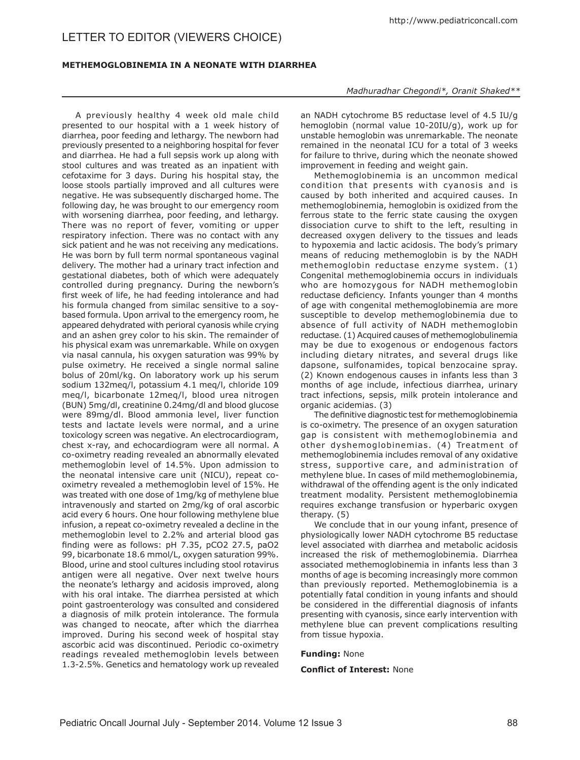# LETTER TO EDITOR (VIEWERS CHOICE)

## **Methemoglobinemia in a Neonate with Diarrhea**

A previously healthy 4 week old male child presented to our hospital with a 1 week history of diarrhea, poor feeding and lethargy. The newborn had previously presented to a neighboring hospital for fever and diarrhea. He had a full sepsis work up along with stool cultures and was treated as an inpatient with cefotaxime for 3 days. During his hospital stay, the loose stools partially improved and all cultures were negative. He was subsequently discharged home. The following day, he was brought to our emergency room with worsening diarrhea, poor feeding, and lethargy. There was no report of fever, vomiting or upper respiratory infection. There was no contact with any sick patient and he was not receiving any medications. He was born by full term normal spontaneous vaginal delivery. The mother had a urinary tract infection and gestational diabetes, both of which were adequately controlled during pregnancy. During the newborn's first week of life, he had feeding intolerance and had his formula changed from similac sensitive to a soybased formula. Upon arrival to the emergency room, he appeared dehydrated with perioral cyanosis while crying and an ashen grey color to his skin. The remainder of his physical exam was unremarkable. While on oxygen via nasal cannula, his oxygen saturation was 99% by pulse oximetry. He received a single normal saline bolus of 20ml/kg. On laboratory work up his serum sodium 132meq/l, potassium 4.1 meq/l, chloride 109 meq/l, bicarbonate 12meq/l, blood urea nitrogen (BUN) 5mg/dl, creatinine 0.24mg/dl and blood glucose were 89mg/dl. Blood ammonia level, liver function tests and lactate levels were normal, and a urine toxicology screen was negative. An electrocardiogram, chest x-ray, and echocardiogram were all normal. A co-oximetry reading revealed an abnormally elevated methemoglobin level of 14.5%. Upon admission to the neonatal intensive care unit (NICU), repeat cooximetry revealed a methemoglobin level of 15%. He was treated with one dose of 1mg/kg of methylene blue intravenously and started on 2mg/kg of oral ascorbic acid every 6 hours. One hour following methylene blue infusion, a repeat co-oximetry revealed a decline in the methemoglobin level to 2.2% and arterial blood gas finding were as follows: pH 7.35, pCO2 27.5, paO2 99, bicarbonate 18.6 mmol/L, oxygen saturation 99%. Blood, urine and stool cultures including stool rotavirus antigen were all negative. Over next twelve hours the neonate's lethargy and acidosis improved, along with his oral intake. The diarrhea persisted at which point gastroenterology was consulted and considered a diagnosis of milk protein intolerance. The formula was changed to neocate, after which the diarrhea improved. During his second week of hospital stay ascorbic acid was discontinued. Periodic co-oximetry readings revealed methemoglobin levels between 1.3-2.5%. Genetics and hematology work up revealed

#### *Madhuradhar Chegondi\*, Oranit Shaked\*\**

an NADH cytochrome B5 reductase level of 4.5 IU/g hemoglobin (normal value 10-20IU/g), work up for unstable hemoglobin was unremarkable. The neonate remained in the neonatal ICU for a total of 3 weeks for failure to thrive, during which the neonate showed improvement in feeding and weight gain.

Methemoglobinemia is an uncommon medical condition that presents with cyanosis and is caused by both inherited and acquired causes. In methemoglobinemia, hemoglobin is oxidized from the ferrous state to the ferric state causing the oxygen dissociation curve to shift to the left, resulting in decreased oxygen delivery to the tissues and leads to hypoxemia and lactic acidosis. The body's primary means of reducing methemoglobin is by the NADH methemoglobin reductase enzyme system. (1) Congenital methemoglobinemia occurs in individuals who are homozygous for NADH methemoglobin reductase deficiency. Infants younger than 4 months of age with congenital methemoglobinemia are more susceptible to develop methemoglobinemia due to absence of full activity of NADH methemoglobin reductase. (1) Acquired causes of methemoglobulinemia may be due to exogenous or endogenous factors including dietary nitrates, and several drugs like dapsone, sulfonamides, topical benzocaine spray. (2) Known endogenous causes in infants less than 3 months of age include, infectious diarrhea, urinary tract infections, sepsis, milk protein intolerance and organic acidemias. (3)

The definitive diagnostic test for methemoglobinemia is co-oximetry. The presence of an oxygen saturation gap is consistent with methemoglobinemia and other dyshemoglobinemias. (4) Treatment of methemoglobinemia includes removal of any oxidative stress, supportive care, and administration of methylene blue. In cases of mild methemoglobinemia, withdrawal of the offending agent is the only indicated treatment modality. Persistent methemoglobinemia requires exchange transfusion or hyperbaric oxygen therapy. (5)

We conclude that in our young infant, presence of physiologically lower NADH cytochrome B5 reductase level associated with diarrhea and metabolic acidosis increased the risk of methemoglobinemia. Diarrhea associated methemoglobinemia in infants less than 3 months of age is becoming increasingly more common than previously reported. Methemoglobinemia is a potentially fatal condition in young infants and should be considered in the differential diagnosis of infants presenting with cyanosis, since early intervention with methylene blue can prevent complications resulting from tissue hypoxia.

#### **Funding:** None

#### **Conflict of Interest:** None